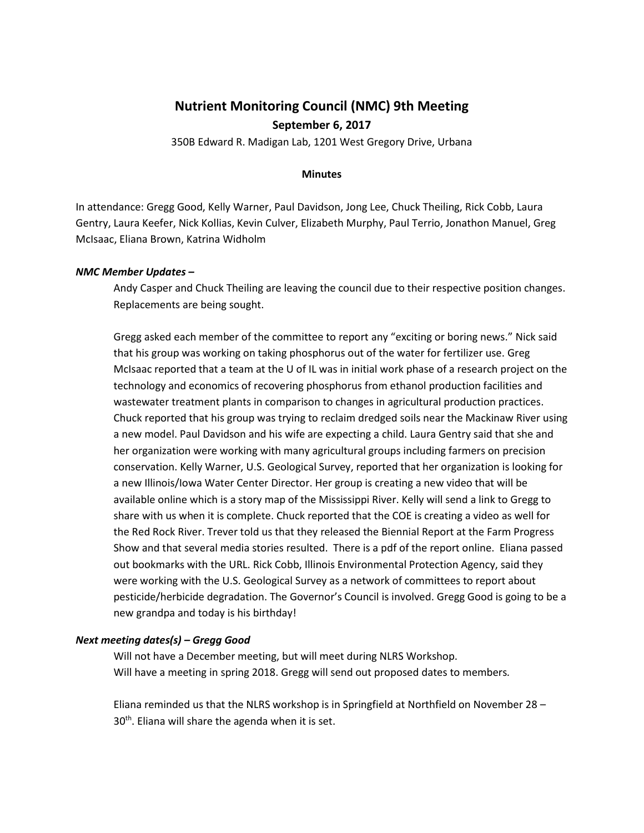# **Nutrient Monitoring Council (NMC) 9th Meeting September 6, 2017**

350B Edward R. Madigan Lab, 1201 West Gregory Drive, Urbana

## **Minutes**

In attendance: Gregg Good, Kelly Warner, Paul Davidson, Jong Lee, Chuck Theiling, Rick Cobb, Laura Gentry, Laura Keefer, Nick Kollias, Kevin Culver, Elizabeth Murphy, Paul Terrio, Jonathon Manuel, Greg McIsaac, Eliana Brown, Katrina Widholm

# *NMC Member Updates –*

Andy Casper and Chuck Theiling are leaving the council due to their respective position changes. Replacements are being sought.

Gregg asked each member of the committee to report any "exciting or boring news." Nick said that his group was working on taking phosphorus out of the water for fertilizer use. Greg McIsaac reported that a team at the U of IL was in initial work phase of a research project on the technology and economics of recovering phosphorus from ethanol production facilities and wastewater treatment plants in comparison to changes in agricultural production practices. Chuck reported that his group was trying to reclaim dredged soils near the Mackinaw River using a new model. Paul Davidson and his wife are expecting a child. Laura Gentry said that she and her organization were working with many agricultural groups including farmers on precision conservation. Kelly Warner, U.S. Geological Survey, reported that her organization is looking for a new Illinois/Iowa Water Center Director. Her group is creating a new video that will be available online which is a story map of the Mississippi River. Kelly will send a link to Gregg to share with us when it is complete. Chuck reported that the COE is creating a video as well for the Red Rock River. Trever told us that they released the Biennial Report at the Farm Progress Show and that several media stories resulted. There is a pdf of the report online. Eliana passed out bookmarks with the URL. Rick Cobb, Illinois Environmental Protection Agency, said they were working with the U.S. Geological Survey as a network of committees to report about pesticide/herbicide degradation. The Governor's Council is involved. Gregg Good is going to be a new grandpa and today is his birthday!

## *Next meeting dates(s) – Gregg Good*

Will not have a December meeting, but will meet during NLRS Workshop. Will have a meeting in spring 2018. Gregg will send out proposed dates to members*.* 

Eliana reminded us that the NLRS workshop is in Springfield at Northfield on November 28 – 30<sup>th</sup>. Eliana will share the agenda when it is set.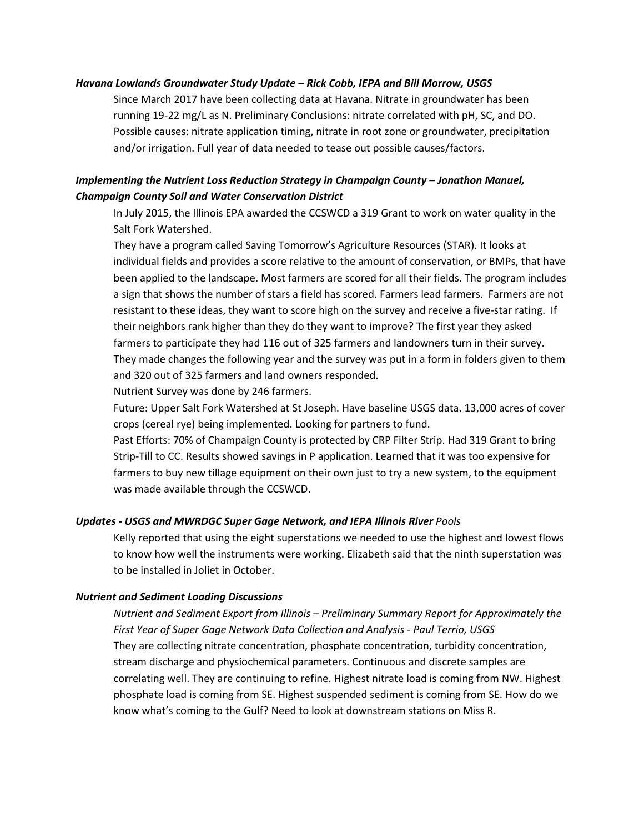#### *Havana Lowlands Groundwater Study Update – Rick Cobb, IEPA and Bill Morrow, USGS*

Since March 2017 have been collecting data at Havana. Nitrate in groundwater has been running 19-22 mg/L as N. Preliminary Conclusions: nitrate correlated with pH, SC, and DO. Possible causes: nitrate application timing, nitrate in root zone or groundwater, precipitation and/or irrigation. Full year of data needed to tease out possible causes/factors.

# *Implementing the Nutrient Loss Reduction Strategy in Champaign County – Jonathon Manuel, Champaign County Soil and Water Conservation District*

In July 2015, the Illinois EPA awarded the CCSWCD a 319 Grant to work on water quality in the Salt Fork Watershed.

They have a program called Saving Tomorrow's Agriculture Resources (STAR). It looks at individual fields and provides a score relative to the amount of conservation, or BMPs, that have been applied to the landscape. Most farmers are scored for all their fields. The program includes a sign that shows the number of stars a field has scored. Farmers lead farmers. Farmers are not resistant to these ideas, they want to score high on the survey and receive a five-star rating. If their neighbors rank higher than they do they want to improve? The first year they asked farmers to participate they had 116 out of 325 farmers and landowners turn in their survey. They made changes the following year and the survey was put in a form in folders given to them and 320 out of 325 farmers and land owners responded.

Nutrient Survey was done by 246 farmers.

Future: Upper Salt Fork Watershed at St Joseph. Have baseline USGS data. 13,000 acres of cover crops (cereal rye) being implemented. Looking for partners to fund.

Past Efforts: 70% of Champaign County is protected by CRP Filter Strip. Had 319 Grant to bring Strip-Till to CC. Results showed savings in P application. Learned that it was too expensive for farmers to buy new tillage equipment on their own just to try a new system, to the equipment was made available through the CCSWCD.

#### *Updates - USGS and MWRDGC Super Gage Network, and IEPA Illinois River Pools*

Kelly reported that using the eight superstations we needed to use the highest and lowest flows to know how well the instruments were working. Elizabeth said that the ninth superstation was to be installed in Joliet in October.

#### *Nutrient and Sediment Loading Discussions*

*Nutrient and Sediment Export from Illinois – Preliminary Summary Report for Approximately the First Year of Super Gage Network Data Collection and Analysis - Paul Terrio, USGS* They are collecting nitrate concentration, phosphate concentration, turbidity concentration, stream discharge and physiochemical parameters. Continuous and discrete samples are correlating well. They are continuing to refine. Highest nitrate load is coming from NW. Highest phosphate load is coming from SE. Highest suspended sediment is coming from SE. How do we know what's coming to the Gulf? Need to look at downstream stations on Miss R.